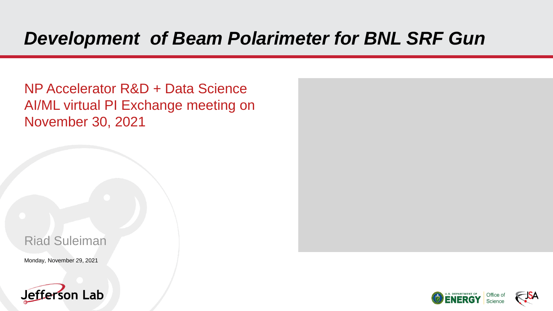# *Development of Beam Polarimeter for BNL SRF Gun*

NP Accelerator R&D + Data Science AI/ML virtual PI Exchange meeting on November 30, 2021

#### Riad Suleiman

Monday, November 29, 2021





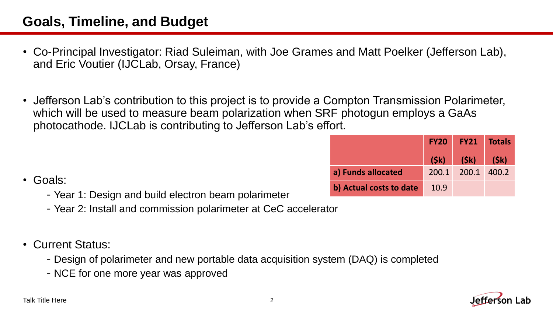#### **Goals, Timeline, and Budget**

- Co-Principal Investigator: Riad Suleiman, with Joe Grames and Matt Poelker (Jefferson Lab), and Eric Voutier (IJCLab, Orsay, France)
- Jefferson Lab's contribution to this project is to provide a Compton Transmission Polarimeter, which will be used to measure beam polarization when SRF photogun employs a GaAs photocathode. IJCLab is contributing to Jefferson Lab's effort.

|                         | <b>FY20</b> |                   | <b>FY21 Totals</b> |
|-------------------------|-------------|-------------------|--------------------|
|                         |             | $(Sk)$ $(Sk)$     | (\$k)              |
| a) Funds allocated      |             | 200.1 200.1 400.2 |                    |
| b) Actual costs to date | 10.9        |                   |                    |

- Goals:
	- -Year 1: Design and build electron beam polarimeter
	- -Year 2: Install and commission polarimeter at CeC accelerator
- Current Status:
	- -Design of polarimeter and new portable data acquisition system (DAQ) is completed
	- -NCE for one more year was approved

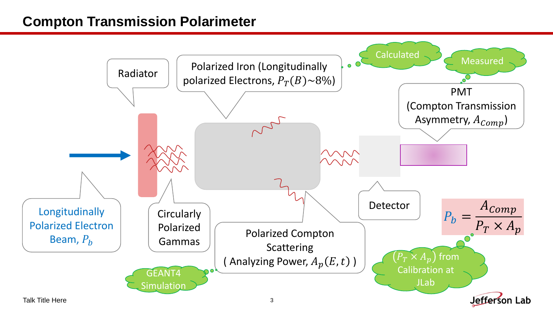#### **Compton Transmission Polarimeter**

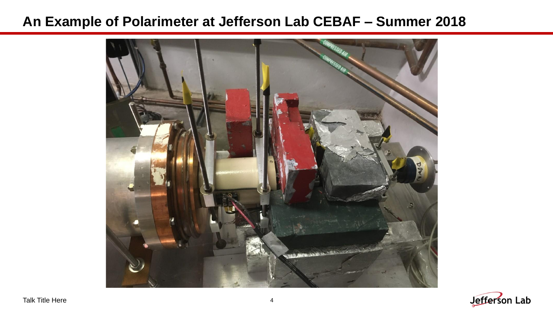#### **An Example of Polarimeter at Jefferson Lab CEBAF – Summer 2018**



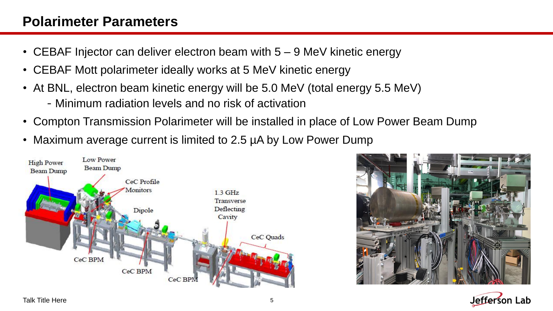#### **Polarimeter Parameters**

- CEBAF Injector can deliver electron beam with 5 9 MeV kinetic energy
- CEBAF Mott polarimeter ideally works at 5 MeV kinetic energy
- At BNL, electron beam kinetic energy will be 5.0 MeV (total energy 5.5 MeV)
	- -Minimum radiation levels and no risk of activation
- Compton Transmission Polarimeter will be installed in place of Low Power Beam Dump
- Maximum average current is limited to 2.5 µA by Low Power Dump





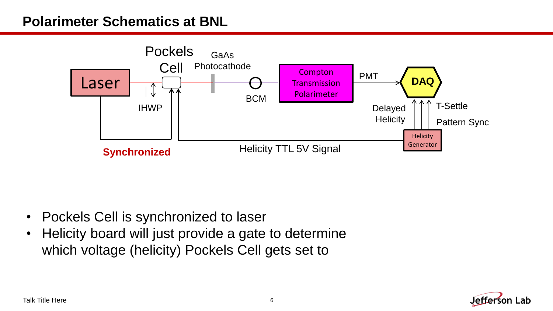#### **Polarimeter Schematics at BNL**



- Pockels Cell is synchronized to laser
- Helicity board will just provide a gate to determine which voltage (helicity) Pockels Cell gets set to

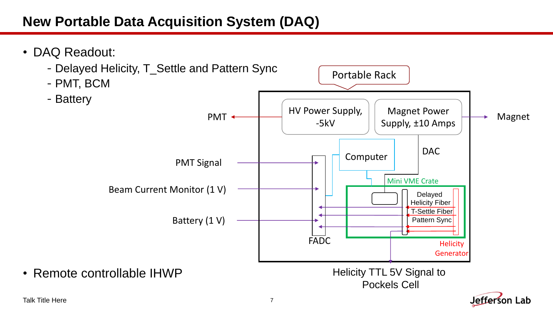## **New Portable Data Acquisition System (DAQ)**



#### Talk Title Here 7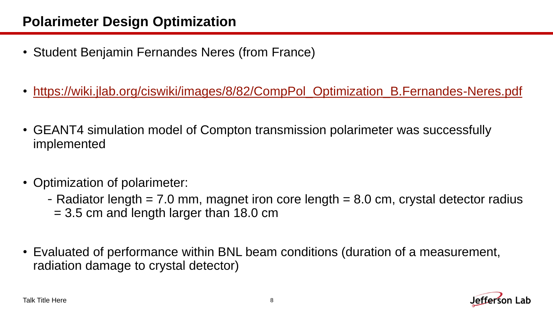## **Polarimeter Design Optimization**

- Student Benjamin Fernandes Neres (from France)
- [https://wiki.jlab.org/ciswiki/images/8/82/CompPol\\_Optimization\\_B.Fernandes-Neres.pdf](https://wiki.jlab.org/ciswiki/images/8/82/CompPol_Optimization_B.Fernandes-Neres.pdf)
- GEANT4 simulation model of Compton transmission polarimeter was successfully implemented
- Optimization of polarimeter:
	- Radiator length  $= 7.0$  mm, magnet iron core length  $= 8.0$  cm, crystal detector radius  $= 3.5$  cm and length larger than 18.0 cm
- Evaluated of performance within BNL beam conditions (duration of a measurement, radiation damage to crystal detector)

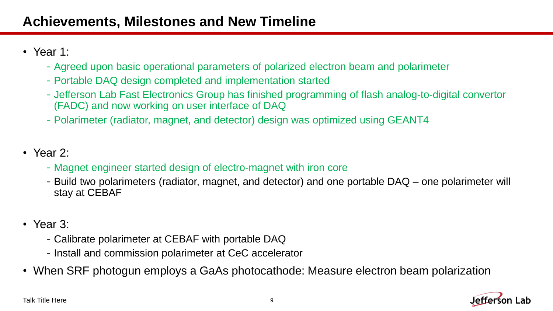- Year 1:
	- -Agreed upon basic operational parameters of polarized electron beam and polarimeter
	- -Portable DAQ design completed and implementation started
	- -Jefferson Lab Fast Electronics Group has finished programming of flash analog-to-digital convertor (FADC) and now working on user interface of DAQ
	- -Polarimeter (radiator, magnet, and detector) design was optimized using GEANT4
- Year 2:
	- -Magnet engineer started design of electro-magnet with iron core
	- -Build two polarimeters (radiator, magnet, and detector) and one portable DAQ one polarimeter will stay at CEBAF
- Year 3:
	- -Calibrate polarimeter at CEBAF with portable DAQ
	- -Install and commission polarimeter at CeC accelerator
- When SRF photogun employs a GaAs photocathode: Measure electron beam polarization